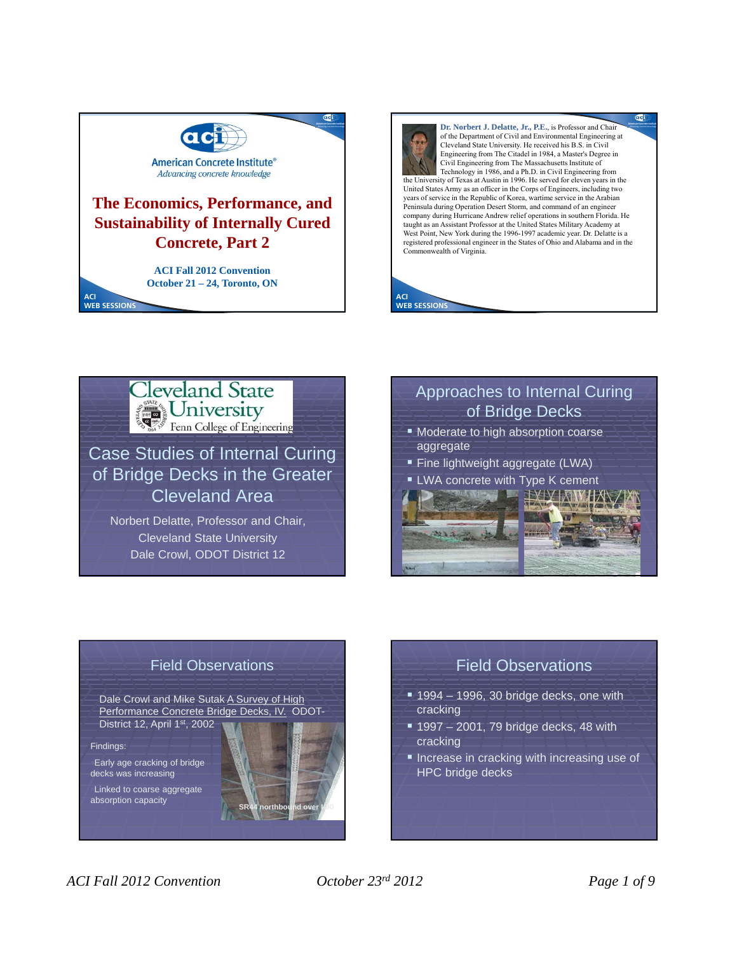





Case Studies of Internal Curing of Bridge Decks in the Greater Cleveland Area

Norbert Delatte, Professor and Chair, Cleveland State University Dale Crowl, ODOT District 12

# Approaches to Internal Curing of Bridge Decks

- **Moderate to high absorption coarse** aggregate
- **Fine lightweight aggregate (LWA)**
- LWA concrete with Type K cement





## Field Observations

Dale Crowl and Mike Sutak A Survey of High Performance Concrete Bridge Decks, IV. ODOT-District 12, April 1st, 2002

Findings:

Early age cracking of bridge decks was increasing

Linked to coarse aggregate  $absorption capacity$ 



# Field Observations

- $= 1994 1996$ , 30 bridge decks, one with cracking
- $1997 2001$ , 79 bridge decks, 48 with cracking
- **Increase in cracking with increasing use of** HPC bridge decks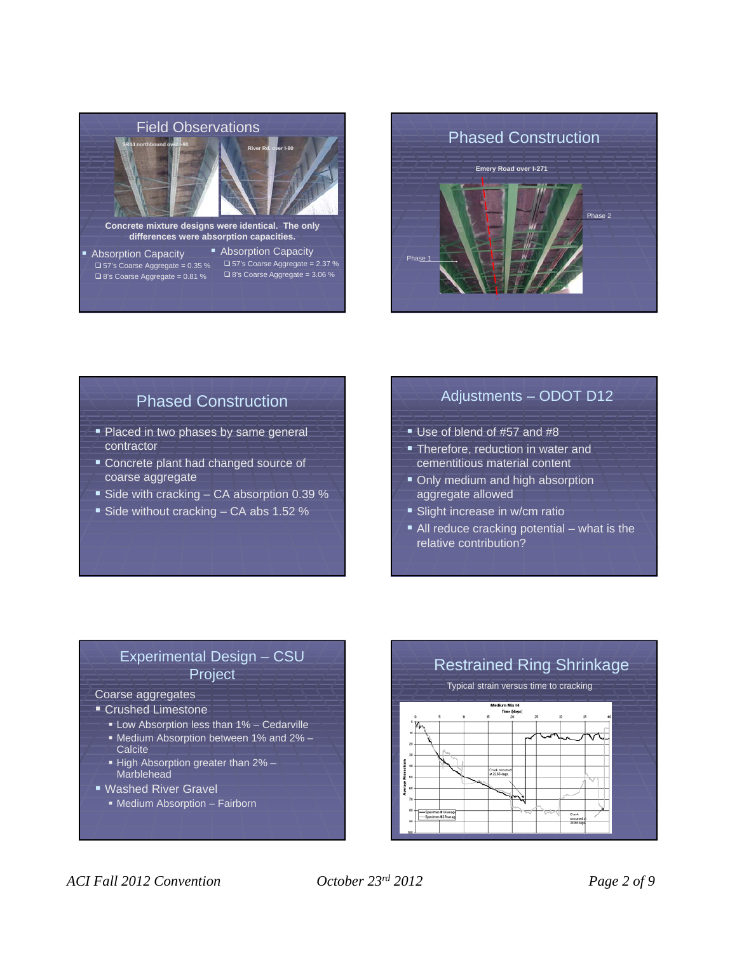

**differences were absorption capacities.**

- **Absorption Capacity**  $\Box$  57's Coarse Aggregate = 0.35 %  $\square$  8's Coarse Aggregate = 0.81 %
- **Absorption Capacity**  $\square$  57's Coarse Aggregate = 2.37 %  $\square$  8's Coarse Aggregate = 3.06 %



# Phased Construction

- Placed in two phases by same general contractor
- **Concrete plant had changed source of** coarse aggregate
- Side with cracking  $-$  CA absorption 0.39 %
- Side without cracking  $-$  CA abs 1.52 %

## Adjustments – ODOT D12

- Use of blend of #57 and #8
- **Therefore, reduction in water and** cementitious material content
- **Only medium and high absorption** aggregate allowed
- **Slight increase in w/cm ratio**
- All reduce cracking potential what is the relative contribution?

## Experimental Design – CSU Project

#### Coarse aggregates

- **Crushed Limestone** 
	- Low Absorption less than 1% Cedarville
	- Medium Absorption between 1% and 2% **Calcite**
	- High Absorption greater than 2% Marblehead
- Washed River Gravel
	- Medium Absorption Fairborn

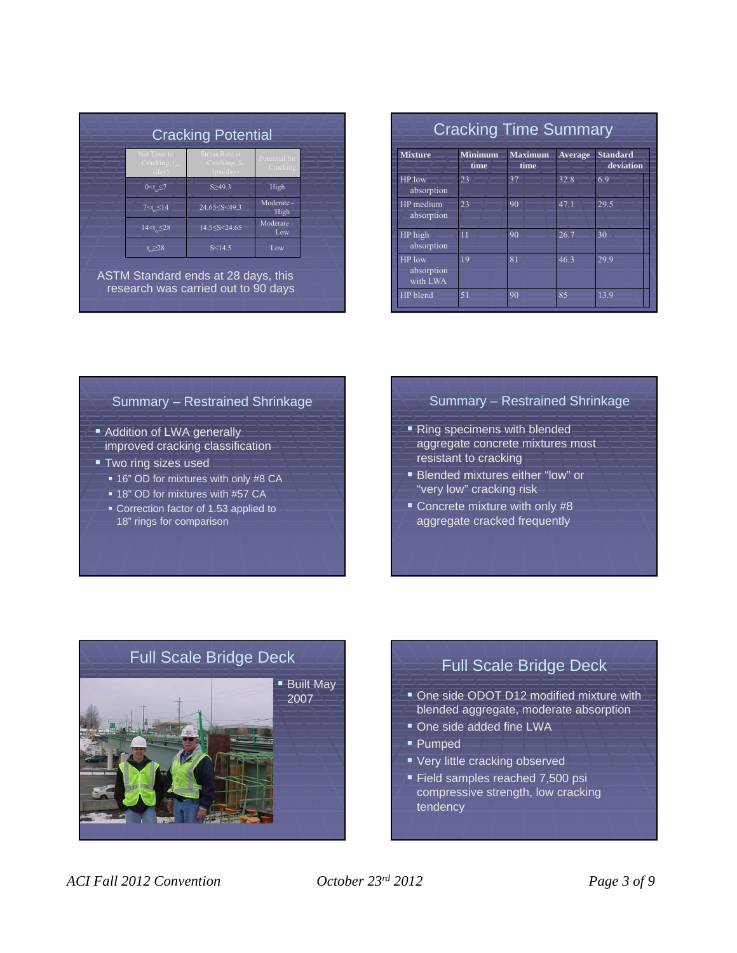| <b>Cracking Potential</b>                                                                                   |                                                                           |                           |
|-------------------------------------------------------------------------------------------------------------|---------------------------------------------------------------------------|---------------------------|
| Net Time to<br>Cracking, $t_{cr}$<br>(dav)                                                                  | <b>Stress Rate at</b><br>Cracking, S.<br>(psi/day)                        | Potential for<br>Cracking |
| $0 < t \leq 7$                                                                                              | S > 49.3                                                                  | High                      |
| $7 < t_{cr} \leq 14$                                                                                        | 24.65 <s<49.3< td=""><td>Moderate -<br/>High</td></s<49.3<>               | Moderate -<br>High        |
| 14 <t_<28< td=""><td>14.5<s<24.65< td=""><td><math>Modernate -</math><br/>Low</td></s<24.65<></td></t_<28<> | 14.5 <s<24.65< td=""><td><math>Modernate -</math><br/>Low</td></s<24.65<> | $Modernate -$<br>Low      |
| $t \geq 28$                                                                                                 | S < 14.5                                                                  | Low                       |

ASTM Standard ends at 28 days, this research was carried out to 90 days

| <b>Mixture</b>                   | <b>Minimum</b><br>time | <b>Maximum</b><br>time | <b>Average</b> | <b>Standard</b><br>deviation |
|----------------------------------|------------------------|------------------------|----------------|------------------------------|
| <b>HP</b> low<br>absorption      | 23                     | 37                     | 32.8           | 6.9                          |
| HP medium<br>absorption          | 23                     | 90                     | 471            | 29.5                         |
| HP high<br>absorption            | $\overline{11}$        | 90                     | 26.7           | 30                           |
| HP low<br>absorption<br>with LWA | 19                     | 81                     | 46.3           | 29.9                         |
| HP blend                         | 51                     | 90                     | 85             | 13.9                         |

#### Summary – Restrained Shrinkage

- **Addition of LWA generally** improved cracking classification
- **Two ring sizes used** 
	- **16" OD for mixtures with only #8 CA**
	- 18" OD for mixtures with #57 CA
	- Correction factor of 1.53 applied to 18" rings for comparison

#### Summary – Restrained Shrinkage

- Ring specimens with blended aggregate concrete mixtures most resistant to cracking
- **Blended mixtures either "low" or** "very low" cracking risk
- **Concrete mixture with only #8** aggregate cracked frequently



# Full Scale Bridge Deck

- **One side ODOT D12 modified mixture with** blended aggregate, moderate absorption
- One side added fine LWA
- Pumped
- **Very little cracking observed**
- Field samples reached 7,500 psi compressive strength, low cracking tendency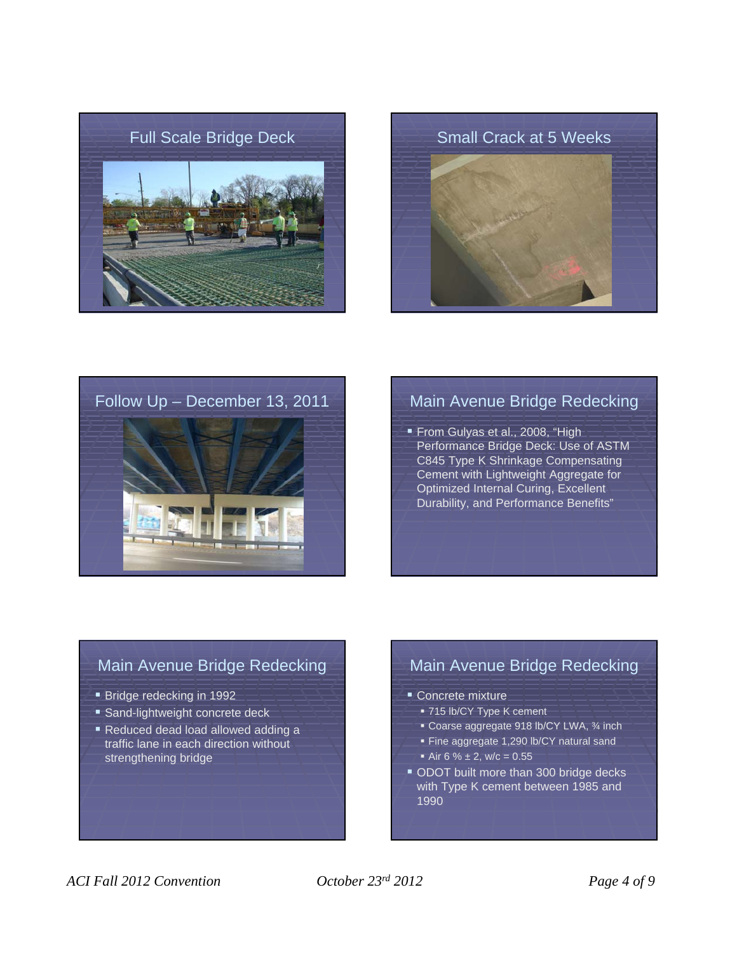







# Follow Up – December 13, 2011 Main Avenue Bridge Redecking

From Gulyas et al., 2008, "High Performance Bridge Deck: Use of ASTM C845 Type K Shrinkage Compensating Cement with Lightweight Aggregate for Optimized Internal Curing, Excellent Durability, and Performance Benefits"

## Main Avenue Bridge Redecking

- **Bridge redecking in 1992**
- **Sand-lightweight concrete deck**
- Reduced dead load allowed adding a traffic lane in each direction without strengthening bridge

# Main Avenue Bridge Redecking

- Concrete mixture
	- 715 lb/CY Type K cement
	- Coarse aggregate 918 lb/CY LWA, 34 inch
	- Fine aggregate 1,290 lb/CY natural sand
	- Air 6 %  $\pm$  2, w/c = 0.55
- ODOT built more than 300 bridge decks with Type K cement between 1985 and 1990

### *ACI Fall 2012 Convention October 23rd 2012 Page 4 of 9*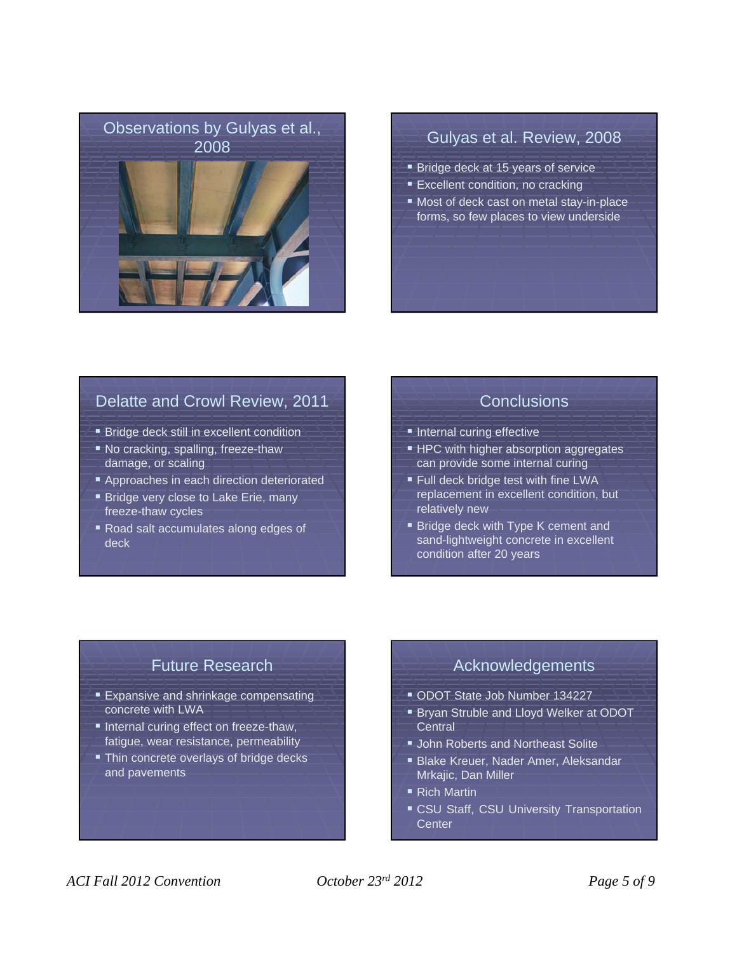

- **Bridge deck at 15 years of service**
- **Excellent condition, no cracking**
- **Most of deck cast on metal stay-in-place** forms, so few places to view underside

## Delatte and Crowl Review, 2011

- **Bridge deck still in excellent condition**
- No cracking, spalling, freeze-thaw damage, or scaling
- **Approaches in each direction deteriorated**
- **Bridge very close to Lake Erie, many** freeze-thaw cycles
- Road salt accumulates along edges of deck

#### **Conclusions**

- **Internal curing effective**
- **HPC** with higher absorption aggregates can provide some internal curing
- **Full deck bridge test with fine LWA** replacement in excellent condition, but relatively new
- **Bridge deck with Type K cement and** sand-lightweight concrete in excellent condition after 20 years

# Future Research

- **Expansive and shrinkage compensating** concrete with LWA
- Internal curing effect on freeze-thaw, fatigue, wear resistance, permeability
- **Thin concrete overlays of bridge decks** and pavements

### Acknowledgements

- ODOT State Job Number 134227
- **Bryan Struble and Lloyd Welker at ODOT Central**
- **John Roberts and Northeast Solite**
- Blake Kreuer, Nader Amer, Aleksandar Mrkajic, Dan Miller
- Rich Martin
- **CSU Staff, CSU University Transportation Center**